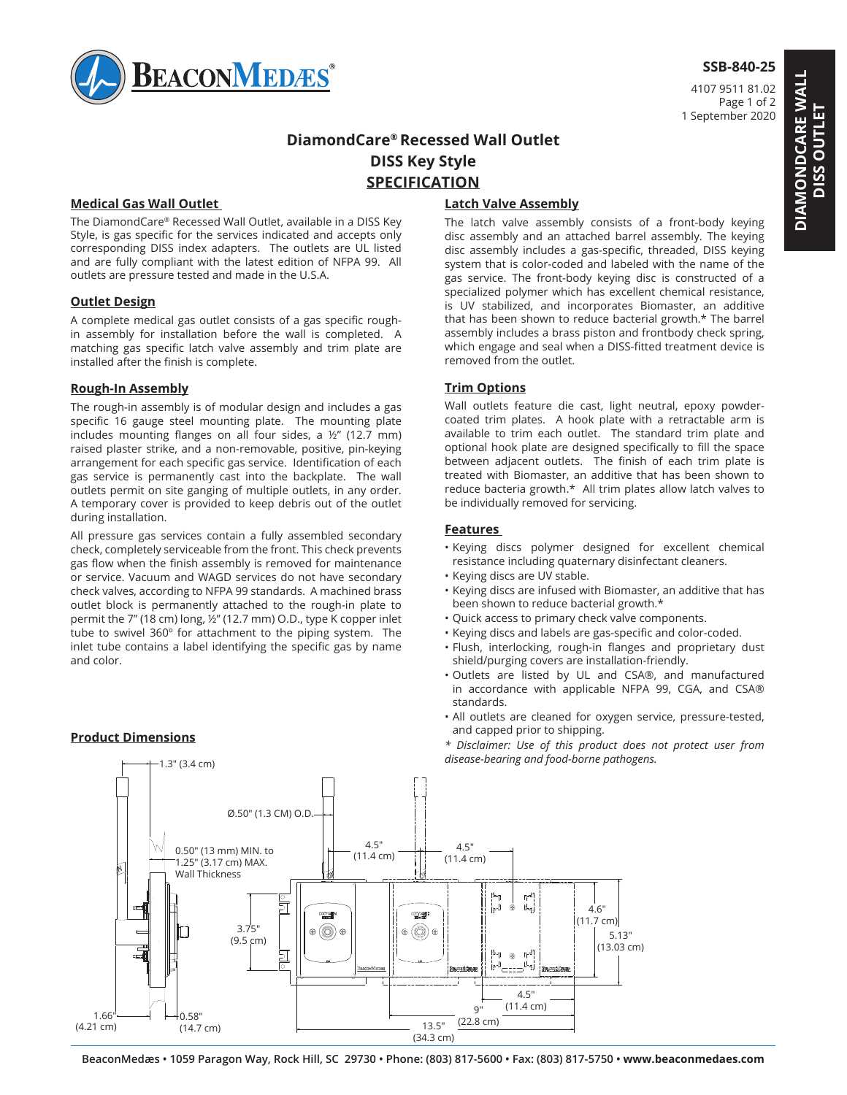

## **SSB-840-25**

4107 9511 81.02 Page 1 of 2 1 September 2020

# **DiamondCare® Recessed Wall Outlet DISS Key Style SPECIFICATION**

## **Medical Gas Wall Outlet**

The DiamondCare® Recessed Wall Outlet, available in a DISS Key Style, is gas specific for the services indicated and accepts only corresponding DISS index adapters. The outlets are UL listed and are fully compliant with the latest edition of NFPA 99. All outlets are pressure tested and made in the U.S.A.

#### **Outlet Design**

A complete medical gas outlet consists of a gas specific roughin assembly for installation before the wall is completed. A matching gas specific latch valve assembly and trim plate are installed after the finish is complete.

#### **Rough-In Assembly**

The rough-in assembly is of modular design and includes a gas specific 16 gauge steel mounting plate. The mounting plate includes mounting flanges on all four sides, a ½" (12.7 mm) raised plaster strike, and a non-removable, positive, pin-keying arrangement for each specific gas service. Identification of each gas service is permanently cast into the backplate. The wall outlets permit on site ganging of multiple outlets, in any order. A temporary cover is provided to keep debris out of the outlet during installation.

All pressure gas services contain a fully assembled secondary check, completely serviceable from the front. This check prevents gas flow when the finish assembly is removed for maintenance or service. Vacuum and WAGD services do not have secondary check valves, according to NFPA 99 standards. A machined brass outlet block is permanently attached to the rough-in plate to permit the 7" (18 cm) long, ½" (12.7 mm) O.D., type K copper inlet tube to swivel 360º for attachment to the piping system. The inlet tube contains a label identifying the specific gas by name and color.

and the second second second second second second second second second second second second second second second

#### **Product Dimensions**

## **Latch Valve Assembly**

The latch valve assembly consists of a front-body keying disc assembly and an attached barrel assembly. The keying disc assembly includes a gas-specific, threaded, DISS keying system that is color-coded and labeled with the name of the gas service. The front-body keying disc is constructed of a specialized polymer which has excellent chemical resistance, is UV stabilized, and incorporates Biomaster, an additive that has been shown to reduce bacterial growth.\* The barrel assembly includes a brass piston and frontbody check spring, which engage and seal when a DISS-fitted treatment device is removed from the outlet.

#### **Trim Options**

Wall outlets feature die cast, light neutral, epoxy powdercoated trim plates. A hook plate with a retractable arm is available to trim each outlet. The standard trim plate and optional hook plate are designed specifically to fill the space between adjacent outlets. The finish of each trim plate is treated with Biomaster, an additive that has been shown to reduce bacteria growth.\* All trim plates allow latch valves to be individually removed for servicing.

#### **Features**

- Keying discs polymer designed for excellent chemical resistance including quaternary disinfectant cleaners.
- Keying discs are UV stable.
- Keying discs are infused with Biomaster, an additive that has been shown to reduce bacterial growth.\*
- Quick access to primary check valve components.
- Keying discs and labels are gas-specific and color-coded.
- Flush, interlocking, rough-in flanges and proprietary dust shield/purging covers are installation-friendly.
- 1 2 in accordance with applicable NFPA 99, CGA, and CSA® • Outlets are listed by UL and CSA®, and manufactured standards.
- All outlets are cleaned for oxygen service, pressure-tested, and capped prior to shipping.

D D *\* Disclaimer: Use of this product does not protect user from disease-bearing and food-borne pathogens.*